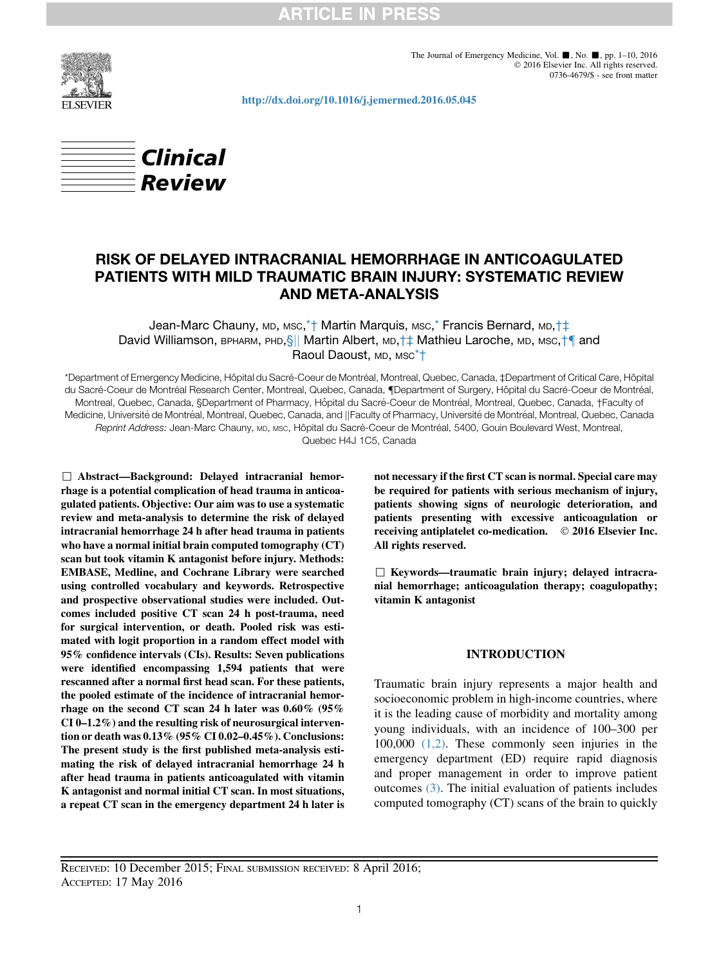**ARTICLE IN PRESS** 



The Journal of Emergency Medicine, Vol.  $\blacksquare$ , No.  $\blacksquare$ , pp. 1–10, 2016 2016 Elsevier Inc. All rights reserved. 0736-4679/\$ - see front matter

<http://dx.doi.org/10.1016/j.jemermed.2016.05.045>



## RISK OF DELAYED INTRACRANIAL HEMORRHAGE IN ANTICOAGULATED PATIENTS WITH MILD TRAUMATIC BRAIN INJURY: SYSTEMATIC REVIEW AND META-ANALYSIS

Jean-Marc Chauny, MD, MSC,\*† Martin Marquis, MSC,\* Francis Bernard, MD,†‡ David Williamson, BPHARM, PHD, S|| Martin Albert, MD, †‡ Mathieu Laroche, MD, MSC, †¶ and Raoul Daoust, MD, MSC<sup>\*†</sup>

\*Department of Emergency Medicine, Hôpital du Sacré-Coeur de Montréal, Montreal, Quebec, Canada, ‡Department of Critical Care, Hôpital du Sacré-Coeur de Montréal Research Center, Montreal, Quebec, Canada, ¶Department of Surgery, Hôpital du Sacré-Coeur de Montréal, Montreal, Quebec, Canada, §Department of Pharmacy, Hôpital du Sacré-Coeur de Montréal, Montreal, Quebec, Canada, †Faculty of Medicine, Université de Montréal, Montreal, Quebec, Canada, and ||Faculty of Pharmacy, Université de Montréal, Montreal, Quebec, Canada Reprint Address: Jean-Marc Chauny, MD, MSC, Hôpital du Sacré-Coeur de Montréal, 5400, Gouin Boulevard West, Montreal, Quebec H4J 1C5, Canada

 $\Box$  Abstract—Background: Delayed intracranial hemorrhage is a potential complication of head trauma in anticoagulated patients. Objective: Our aim was to use a systematic review and meta-analysis to determine the risk of delayed intracranial hemorrhage 24 h after head trauma in patients who have a normal initial brain computed tomography (CT) scan but took vitamin K antagonist before injury. Methods: EMBASE, Medline, and Cochrane Library were searched using controlled vocabulary and keywords. Retrospective and prospective observational studies were included. Outcomes included positive CT scan 24 h post-trauma, need for surgical intervention, or death. Pooled risk was estimated with logit proportion in a random effect model with 95% confidence intervals (CIs). Results: Seven publications were identified encompassing 1,594 patients that were rescanned after a normal first head scan. For these patients, the pooled estimate of the incidence of intracranial hemorrhage on the second CT scan 24 h later was 0.60% (95% CI 0–1.2%) and the resulting risk of neurosurgical intervention or death was 0.13% (95% CI 0.02–0.45%). Conclusions: The present study is the first published meta-analysis estimating the risk of delayed intracranial hemorrhage 24 h after head trauma in patients anticoagulated with vitamin K antagonist and normal initial CT scan. In most situations, a repeat CT scan in the emergency department 24 h later is not necessary if the first CT scan is normal. Special care may be required for patients with serious mechanism of injury, patients showing signs of neurologic deterioration, and patients presenting with excessive anticoagulation or receiving antiplatelet co-medication.  $\oslash$  2016 Elsevier Inc. All rights reserved.

 $\Box$  Keywords—traumatic brain injury; delayed intracranial hemorrhage; anticoagulation therapy; coagulopathy; vitamin K antagonist

#### INTRODUCTION

Traumatic brain injury represents a major health and socioeconomic problem in high-income countries, where it is the leading cause of morbidity and mortality among young individuals, with an incidence of 100–300 per 100,000 [\(1,2\).](#page-7-0) These commonly seen injuries in the emergency department (ED) require rapid diagnosis and proper management in order to improve patient outcomes [\(3\)](#page-7-0). The initial evaluation of patients includes computed tomography (CT) scans of the brain to quickly

RECEIVED: 10 December 2015; FINAL SUBMISSION RECEIVED: 8 April 2016; ACCEPTED: 17 May 2016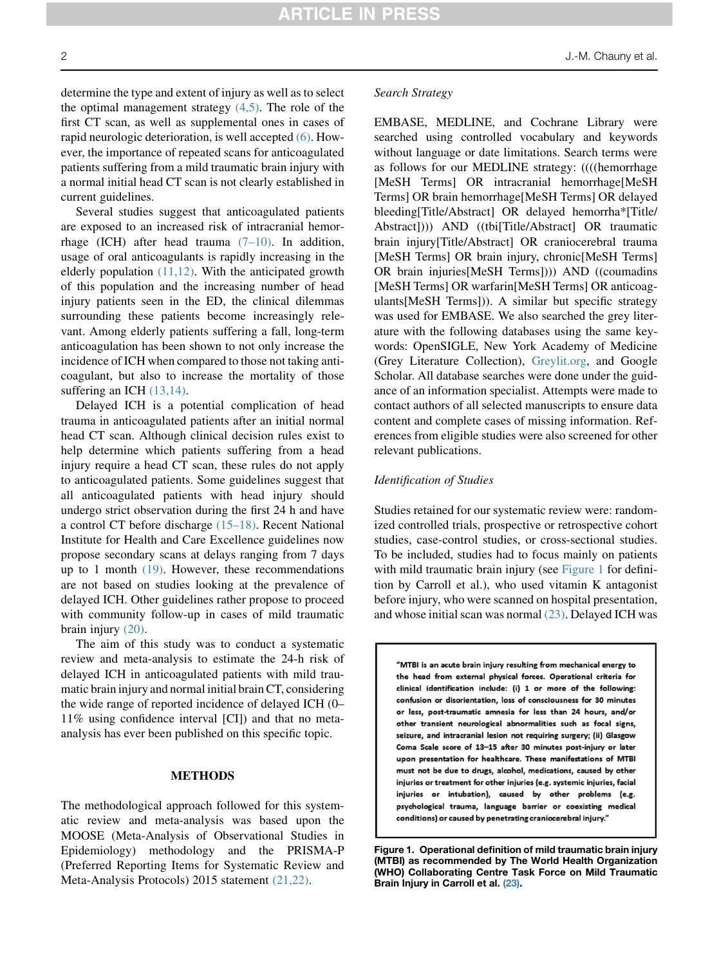determine the type and extent of injury as well as to select the optimal management strategy  $(4,5)$ . The role of the first CT scan, as well as supplemental ones in cases of rapid neurologic deterioration, is well accepted [\(6\)](#page-7-0). However, the importance of repeated scans for anticoagulated patients suffering from a mild traumatic brain injury with a normal initial head CT scan is not clearly established in current guidelines.

Several studies suggest that anticoagulated patients are exposed to an increased risk of intracranial hemorrhage (ICH) after head trauma  $(7-10)$ . In addition, usage of oral anticoagulants is rapidly increasing in the elderly population  $(11,12)$ . With the anticipated growth of this population and the increasing number of head injury patients seen in the ED, the clinical dilemmas surrounding these patients become increasingly relevant. Among elderly patients suffering a fall, long-term anticoagulation has been shown to not only increase the incidence of ICH when compared to those not taking anticoagulant, but also to increase the mortality of those suffering an ICH [\(13,14\).](#page-8-0)

Delayed ICH is a potential complication of head trauma in anticoagulated patients after an initial normal head CT scan. Although clinical decision rules exist to help determine which patients suffering from a head injury require a head CT scan, these rules do not apply to anticoagulated patients. Some guidelines suggest that all anticoagulated patients with head injury should undergo strict observation during the first 24 h and have a control CT before discharge [\(15–18\)](#page-8-0). Recent National Institute for Health and Care Excellence guidelines now propose secondary scans at delays ranging from 7 days up to 1 month [\(19\).](#page-8-0) However, these recommendations are not based on studies looking at the prevalence of delayed ICH. Other guidelines rather propose to proceed with community follow-up in cases of mild traumatic brain injury [\(20\).](#page-8-0)

The aim of this study was to conduct a systematic review and meta-analysis to estimate the 24-h risk of delayed ICH in anticoagulated patients with mild traumatic brain injury and normal initial brain CT, considering the wide range of reported incidence of delayed ICH (0– 11% using confidence interval [CI]) and that no metaanalysis has ever been published on this specific topic.

## **METHODS**

The methodological approach followed for this systematic review and meta-analysis was based upon the MOOSE (Meta-Analysis of Observational Studies in Epidemiology) methodology and the PRISMA-P (Preferred Reporting Items for Systematic Review and Meta-Analysis Protocols) 2015 statement [\(21,22\).](#page-8-0)

#### Search Strategy

EMBASE, MEDLINE, and Cochrane Library were searched using controlled vocabulary and keywords without language or date limitations. Search terms were as follows for our MEDLINE strategy: ((((hemorrhage [MeSH Terms] OR intracranial hemorrhage[MeSH Terms] OR brain hemorrhage[MeSH Terms] OR delayed bleeding[Title/Abstract] OR delayed hemorrha\*[Title/ Abstract]))) AND ((tbi[Title/Abstract] OR traumatic brain injury[Title/Abstract] OR craniocerebral trauma [MeSH Terms] OR brain injury, chronic[MeSH Terms] OR brain injuries[MeSH Terms]))) AND ((coumadins [MeSH Terms] OR warfarin[MeSH Terms] OR anticoagulants[MeSH Terms])). A similar but specific strategy was used for EMBASE. We also searched the grey literature with the following databases using the same keywords: OpenSIGLE, New York Academy of Medicine (Grey Literature Collection), [Greylit.org](http://Greylit.org), and Google Scholar. All database searches were done under the guidance of an information specialist. Attempts were made to contact authors of all selected manuscripts to ensure data content and complete cases of missing information. References from eligible studies were also screened for other relevant publications.

#### Identification of Studies

Studies retained for our systematic review were: randomized controlled trials, prospective or retrospective cohort studies, case-control studies, or cross-sectional studies. To be included, studies had to focus mainly on patients with mild traumatic brain injury (see Figure 1 for definition by Carroll et al.), who used vitamin K antagonist before injury, who were scanned on hospital presentation, and whose initial scan was normal [\(23\).](#page-8-0) Delayed ICH was

"MTBI is an acute brain injury resulting from mechanical energy to the head from external physical forces. Operational criteria for clinical identification include: (i) 1 or more of the following: confusion or disorientation, loss of consciousness for 30 minutes or less, post-traumatic amnesia for less than 24 hours, and/or other transient neurological abnormalities such as focal signs, seizure, and intracranial lesion not requiring surgery; (ii) Glasgow Coma Scale score of 13-15 after 30 minutes post-injury or later upon presentation for healthcare. These manifestations of MTBI must not be due to drugs, alcohol, medications, caused by other injuries or treatment for other injuries (e.g. systemic injuries, facial injuries or intubation), caused by other problems (e.g. psychological trauma, language barrier or coexisting medical conditions) or caused by penetrating craniocerebral injury."

Figure 1. Operational definition of mild traumatic brain injury (MTBI) as recommended by The World Health Organization (WHO) Collaborating Centre Task Force on Mild Traumatic Brain Injury in Carroll et al. [\(23\).](#page-8-0)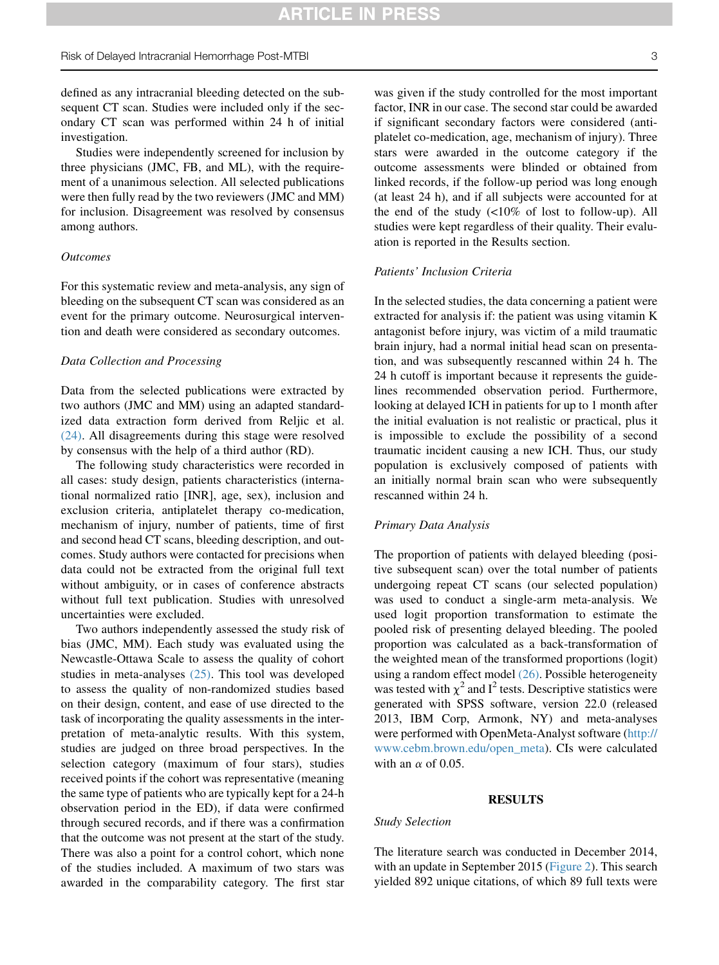defined as any intracranial bleeding detected on the subsequent CT scan. Studies were included only if the secondary CT scan was performed within 24 h of initial investigation.

Studies were independently screened for inclusion by three physicians (JMC, FB, and ML), with the requirement of a unanimous selection. All selected publications were then fully read by the two reviewers (JMC and MM) for inclusion. Disagreement was resolved by consensus among authors.

#### **Outcomes**

For this systematic review and meta-analysis, any sign of bleeding on the subsequent CT scan was considered as an event for the primary outcome. Neurosurgical intervention and death were considered as secondary outcomes.

### Data Collection and Processing

Data from the selected publications were extracted by two authors (JMC and MM) using an adapted standardized data extraction form derived from Reljic et al. [\(24\).](#page-8-0) All disagreements during this stage were resolved by consensus with the help of a third author (RD).

The following study characteristics were recorded in all cases: study design, patients characteristics (international normalized ratio [INR], age, sex), inclusion and exclusion criteria, antiplatelet therapy co-medication, mechanism of injury, number of patients, time of first and second head CT scans, bleeding description, and outcomes. Study authors were contacted for precisions when data could not be extracted from the original full text without ambiguity, or in cases of conference abstracts without full text publication. Studies with unresolved uncertainties were excluded.

Two authors independently assessed the study risk of bias (JMC, MM). Each study was evaluated using the Newcastle-Ottawa Scale to assess the quality of cohort studies in meta-analyses [\(25\)](#page-8-0). This tool was developed to assess the quality of non-randomized studies based on their design, content, and ease of use directed to the task of incorporating the quality assessments in the interpretation of meta-analytic results. With this system, studies are judged on three broad perspectives. In the selection category (maximum of four stars), studies received points if the cohort was representative (meaning the same type of patients who are typically kept for a 24-h observation period in the ED), if data were confirmed through secured records, and if there was a confirmation that the outcome was not present at the start of the study. There was also a point for a control cohort, which none of the studies included. A maximum of two stars was awarded in the comparability category. The first star was given if the study controlled for the most important factor, INR in our case. The second star could be awarded if significant secondary factors were considered (antiplatelet co-medication, age, mechanism of injury). Three stars were awarded in the outcome category if the outcome assessments were blinded or obtained from linked records, if the follow-up period was long enough (at least 24 h), and if all subjects were accounted for at the end of the study  $\langle$ <10% of lost to follow-up). All studies were kept regardless of their quality. Their evaluation is reported in the Results section.

#### Patients' Inclusion Criteria

In the selected studies, the data concerning a patient were extracted for analysis if: the patient was using vitamin K antagonist before injury, was victim of a mild traumatic brain injury, had a normal initial head scan on presentation, and was subsequently rescanned within 24 h. The 24 h cutoff is important because it represents the guidelines recommended observation period. Furthermore, looking at delayed ICH in patients for up to 1 month after the initial evaluation is not realistic or practical, plus it is impossible to exclude the possibility of a second traumatic incident causing a new ICH. Thus, our study population is exclusively composed of patients with an initially normal brain scan who were subsequently rescanned within 24 h.

#### Primary Data Analysis

The proportion of patients with delayed bleeding (positive subsequent scan) over the total number of patients undergoing repeat CT scans (our selected population) was used to conduct a single-arm meta-analysis. We used logit proportion transformation to estimate the pooled risk of presenting delayed bleeding. The pooled proportion was calculated as a back-transformation of the weighted mean of the transformed proportions (logit) using a random effect model [\(26\)](#page-8-0). Possible heterogeneity was tested with  $\chi^2$  and I<sup>2</sup> tests. Descriptive statistics were generated with SPSS software, version 22.0 (released 2013, IBM Corp, Armonk, NY) and meta-analyses were performed with OpenMeta-Analyst software [\(http://](http://www.cebm.brown.edu/open_meta) [www.cebm.brown.edu/open\\_meta\)](http://www.cebm.brown.edu/open_meta). CIs were calculated with an  $\alpha$  of 0.05.

### **RESULTS**

#### Study Selection

The literature search was conducted in December 2014, with an update in September 2015 ([Figure 2\)](#page-3-0). This search yielded 892 unique citations, of which 89 full texts were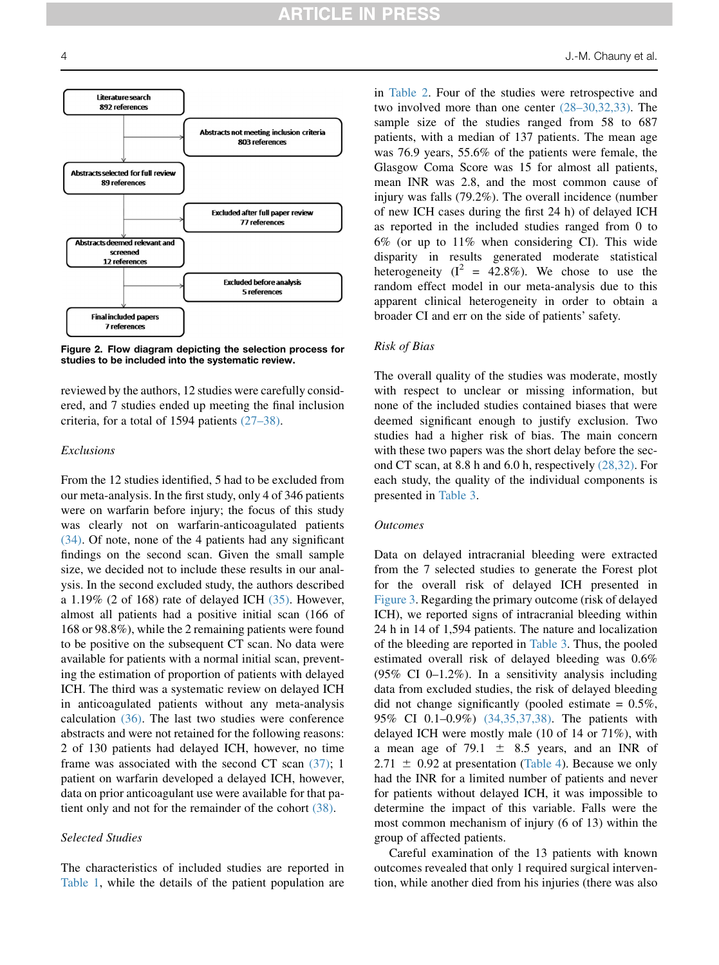<span id="page-3-0"></span>

Figure 2. Flow diagram depicting the selection process for studies to be included into the systematic review.

reviewed by the authors, 12 studies were carefully considered, and 7 studies ended up meeting the final inclusion criteria, for a total of 1594 patients [\(27–38\).](#page-8-0)

### Exclusions

From the 12 studies identified, 5 had to be excluded from our meta-analysis. In the first study, only 4 of 346 patients were on warfarin before injury; the focus of this study was clearly not on warfarin-anticoagulated patients [\(34\).](#page-8-0) Of note, none of the 4 patients had any significant findings on the second scan. Given the small sample size, we decided not to include these results in our analysis. In the second excluded study, the authors described a 1.19% (2 of 168) rate of delayed ICH  $(35)$ . However, almost all patients had a positive initial scan (166 of 168 or 98.8%), while the 2 remaining patients were found to be positive on the subsequent CT scan. No data were available for patients with a normal initial scan, preventing the estimation of proportion of patients with delayed ICH. The third was a systematic review on delayed ICH in anticoagulated patients without any meta-analysis calculation [\(36\).](#page-8-0) The last two studies were conference abstracts and were not retained for the following reasons: 2 of 130 patients had delayed ICH, however, no time frame was associated with the second CT scan [\(37\)](#page-8-0); 1 patient on warfarin developed a delayed ICH, however, data on prior anticoagulant use were available for that patient only and not for the remainder of the cohort [\(38\)](#page-8-0).

## Selected Studies

The characteristics of included studies are reported in [Table 1,](#page-4-0) while the details of the patient population are in [Table 2](#page-5-0). Four of the studies were retrospective and two involved more than one center [\(28–30,32,33\)](#page-8-0). The sample size of the studies ranged from 58 to 687 patients, with a median of 137 patients. The mean age was 76.9 years, 55.6% of the patients were female, the Glasgow Coma Score was 15 for almost all patients, mean INR was 2.8, and the most common cause of injury was falls (79.2%). The overall incidence (number of new ICH cases during the first 24 h) of delayed ICH as reported in the included studies ranged from 0 to 6% (or up to 11% when considering CI). This wide disparity in results generated moderate statistical heterogeneity  $(I^2 = 42.8\%)$ . We chose to use the random effect model in our meta-analysis due to this apparent clinical heterogeneity in order to obtain a broader CI and err on the side of patients' safety.

#### Risk of Bias

The overall quality of the studies was moderate, mostly with respect to unclear or missing information, but none of the included studies contained biases that were deemed significant enough to justify exclusion. Two studies had a higher risk of bias. The main concern with these two papers was the short delay before the second CT scan, at 8.8 h and 6.0 h, respectively [\(28,32\)](#page-8-0). For each study, the quality of the individual components is presented in [Table 3.](#page-6-0)

#### **Outcomes**

Data on delayed intracranial bleeding were extracted from the 7 selected studies to generate the Forest plot for the overall risk of delayed ICH presented in [Figure 3](#page-6-0). Regarding the primary outcome (risk of delayed ICH), we reported signs of intracranial bleeding within 24 h in 14 of 1,594 patients. The nature and localization of the bleeding are reported in [Table 3.](#page-6-0) Thus, the pooled estimated overall risk of delayed bleeding was 0.6% (95% CI 0–1.2%). In a sensitivity analysis including data from excluded studies, the risk of delayed bleeding did not change significantly (pooled estimate  $= 0.5\%$ , 95% CI 0.1–0.9%) [\(34,35,37,38\).](#page-8-0) The patients with delayed ICH were mostly male (10 of 14 or 71%), with a mean age of 79.1  $\pm$  8.5 years, and an INR of  $2.71 \pm 0.92$  at presentation [\(Table 4](#page-7-0)). Because we only had the INR for a limited number of patients and never for patients without delayed ICH, it was impossible to determine the impact of this variable. Falls were the most common mechanism of injury (6 of 13) within the group of affected patients.

Careful examination of the 13 patients with known outcomes revealed that only 1 required surgical intervention, while another died from his injuries (there was also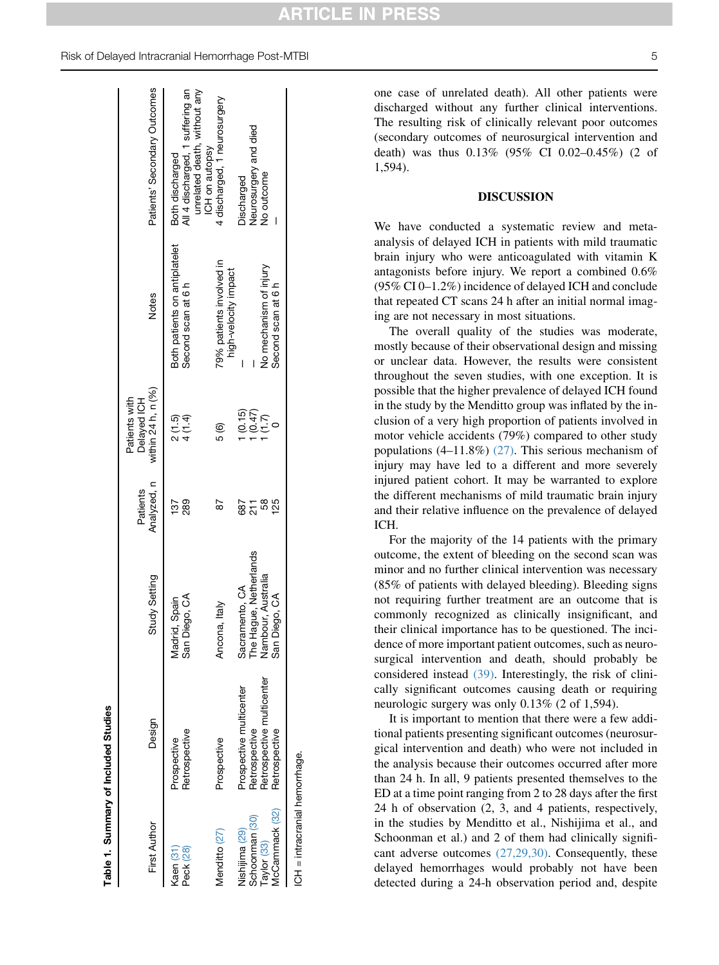<span id="page-4-0"></span>

| First Author                      | Design                       | Study Setting                    | Analyzed, n<br>Patients | within 24 h, n (%)<br>Patients with<br>Delayed ICH | <b>Notes</b>                                        | Patients' Secondary Outcomes                        |
|-----------------------------------|------------------------------|----------------------------------|-------------------------|----------------------------------------------------|-----------------------------------------------------|-----------------------------------------------------|
| Peck (28)<br>$\langle$ aen $(31)$ | Retrospective<br>Prospective | San Diego, CA<br>Madrid, Spain   | 289<br>137              | ଦ୍ର<br>୧.୧.<br>୧                                   | Both patients on antiplatelet<br>Second scan at 6 h | All 4 discharged, 1 suffering an<br>Both discharged |
|                                   |                              |                                  |                         |                                                    |                                                     | unrelated death, without any<br>ICH on autopsy      |
| Aenditto (27)                     | <sup>2</sup> rospective      | Ancona, Italy                    | 87                      | 5 (6)                                              | 79% patients involved in<br>high-velocity impact    | 4 discharged, 1 neurosurgery                        |
| lishijima (29)                    | rospective multicenter       | Sacramento, CA                   | 687                     |                                                    |                                                     | Jischarged                                          |
| Schoonman <sup>(30)</sup>         | Retrospective                | Hague, Netherlands<br><b>The</b> |                         |                                                    |                                                     | Neurosurgery and died                               |
| aylor (33)                        | Retrospective multicenter    | Nambour, Australia               |                         | 0.15)<br>  0.47)<br>  0.47)                        | No mechanism of injury                              | No outcome                                          |
| 1cCammack (32)                    | Retrospective                | San Diego, CA                    |                         |                                                    | Second scan at 6 h                                  |                                                     |
| CH = intracranial hemorrhage.     |                              |                                  |                         |                                                    |                                                     |                                                     |

Table 1. Summary of Included Studies

Table 1. Summary of Included Studies

one case of unrelated death). All other patients were discharged without any further clinical interventions. The resulting risk of clinically relevant poor outcomes (secondary outcomes of neurosurgical intervention and death) was thus 0.13% (95% CI 0.02–0.45%) (2 of 1,594).

#### DISCUSSION

We have conducted a systematic review and metaanalysis of delayed ICH in patients with mild traumatic brain injury who were anticoagulated with vitamin K antagonists before injury. We report a combined 0.6% (95% CI 0–1.2%) incidence of delayed ICH and conclude that repeated CT scans 24 h after an initial normal imaging are not necessary in most situations.

The overall quality of the studies was moderate, mostly because of their observational design and missing or unclear data. However, the results were consistent throughout the seven studies, with one exception. It is possible that the higher prevalence of delayed ICH found in the study by the Menditto group was inflated by the inclusion of a very high proportion of patients involved in motor vehicle accidents (79%) compared to other study populations (4–11.8%) [\(27\).](#page-8-0) This serious mechanism of injury may have led to a different and more severely injured patient cohort. It may be warranted to explore the different mechanisms of mild traumatic brain injury and their relative influence on the prevalence of delayed ICH.

For the majority of the 14 patients with the primary outcome, the extent of bleeding on the second scan was minor and no further clinical intervention was necessary (85% of patients with delayed bleeding). Bleeding signs not requiring further treatment are an outcome that is commonly recognized as clinically insignificant, and their clinical importance has to be questioned. The incidence of more important patient outcomes, such as neurosurgical intervention and death, should probably be considered instead [\(39\)](#page-8-0). Interestingly, the risk of clinically significant outcomes causing death or requiring neurologic surgery was only 0.13% (2 of 1,594).

It is important to mention that there were a few additional patients presenting significant outcomes (neurosurgical intervention and death) who were not included in the analysis because their outcomes occurred after more than 24 h. In all, 9 patients presented themselves to the ED at a time point ranging from 2 to 28 days after the first 24 h of observation (2, 3, and 4 patients, respectively, in the studies by Menditto et al., Nishijima et al., and Schoonman et al.) and 2 of them had clinically significant adverse outcomes [\(27,29,30\)](#page-8-0). Consequently, these delayed hemorrhages would probably not have been detected during a 24-h observation period and, despite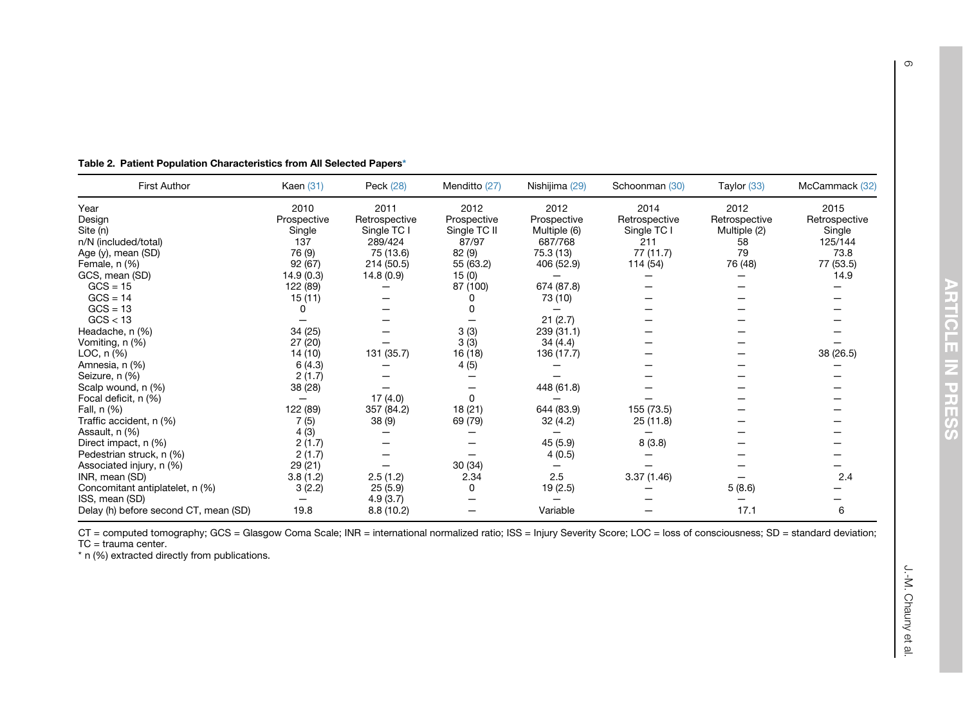| <b>First Author</b>                   | <b>Kaen (31)</b> | Peck (28)     | Menditto (27) | Nishijima (29) | Schoonman (30) | Taylor (33)   | McCammack (32) |
|---------------------------------------|------------------|---------------|---------------|----------------|----------------|---------------|----------------|
| Year                                  | 2010             | 2011          | 2012          | 2012           | 2014           | 2012          | 2015           |
| Design                                | Prospective      | Retrospective | Prospective   | Prospective    | Retrospective  | Retrospective | Retrospective  |
| Site (n)                              | Single           | Single TC I   | Single TC II  | Multiple (6)   | Single TC I    | Multiple (2)  | Single         |
| n/N (included/total)                  | 137              | 289/424       | 87/97         | 687/768        | 211            | 58            | 125/144        |
| Age (y), mean (SD)                    | 76 (9)           | 75 (13.6)     | 82 (9)        | 75.3 (13)      | 77 (11.7)      | 79            | 73.8           |
| Female, n (%)                         | 92 (67)          | 214 (50.5)    | 55 (63.2)     | 406 (52.9)     | 114 (54)       | 76 (48)       | 77 (53.5)      |
| GCS, mean (SD)                        | 14.9(0.3)        | 14.8(0.9)     | 15(0)         |                |                |               | 14.9           |
| $GCS = 15$                            | 122 (89)         |               | 87 (100)      | 674 (87.8)     |                |               |                |
| $GCS = 14$                            | 15(11)           |               |               | 73 (10)        |                |               |                |
| $GCS = 13$                            |                  |               | 0             |                |                |               |                |
| GCS < 13                              |                  |               |               | 21(2.7)        |                |               |                |
| Headache, n (%)                       | 34 (25)          |               | 3(3)          | 239 (31.1)     |                |               |                |
| Vomiting, n (%)                       | 27 (20)          |               | 3(3)          | 34(4.4)        |                |               |                |
| LOC, $n$ $(\%)$                       | 14 (10)          | 131 (35.7)    | 16 (18)       | 136 (17.7)     |                |               | 38 (26.5)      |
| Amnesia, n (%)                        | 6(4.3)           |               | 4(5)          |                |                |               |                |
| Seizure, n (%)                        | 2(1.7)           |               |               |                |                |               |                |
| Scalp wound, n (%)                    | 38 (28)          |               |               | 448 (61.8)     |                |               |                |
| Focal deficit, n (%)                  |                  | 17(4.0)       | 0             |                |                |               |                |
| Fall, n (%)                           | 122 (89)         | 357 (84.2)    | 18(21)        | 644 (83.9)     | 155 (73.5)     |               |                |
| Traffic accident, n (%)               | 7(5)             | 38 (9)        | 69 (79)       | 32 (4.2)       | 25(11.8)       |               |                |
| Assault, n (%)                        | 4(3)             |               |               |                |                |               |                |
| Direct impact, n (%)                  | 2(1.7)           |               |               | 45 (5.9)       | 8(3.8)         |               |                |
| Pedestrian struck, n (%)              | 2(1.7)           |               |               | 4(0.5)         |                |               |                |
| Associated injury, n (%)              | 29 (21)          |               | 30(34)        |                |                |               |                |
| INR, mean (SD)                        | 3.8(1.2)         | 2.5(1.2)      | 2.34          | 2.5            | 3.37(1.46)     |               | 2.4            |
| Concomitant antiplatelet, n (%)       | 3(2.2)           | 25(5.9)       | 0             | 19 (2.5)       |                | 5(8.6)        |                |
| ISS, mean (SD)                        | —                | 4.9(3.7)      |               |                |                |               |                |
| Delay (h) before second CT, mean (SD) | 19.8             | 8.8(10.2)     |               | Variable       |                | 17.1          | 6              |

<span id="page-5-0"></span>Table 2. Patient Population Characteristics from All Selected Papers\*

CT = computed tomography; GCS = Glasgow Coma Scale; INR = international normalized ratio; ISS = Injury Severity Score; LOC = loss of consciousness; SD = standard deviation;<br>TC = trauma center.

\* <sup>n</sup> (%) extracted directly from publications.

**ARTICLE IN PRESS** 

J.-M. Chauny et al.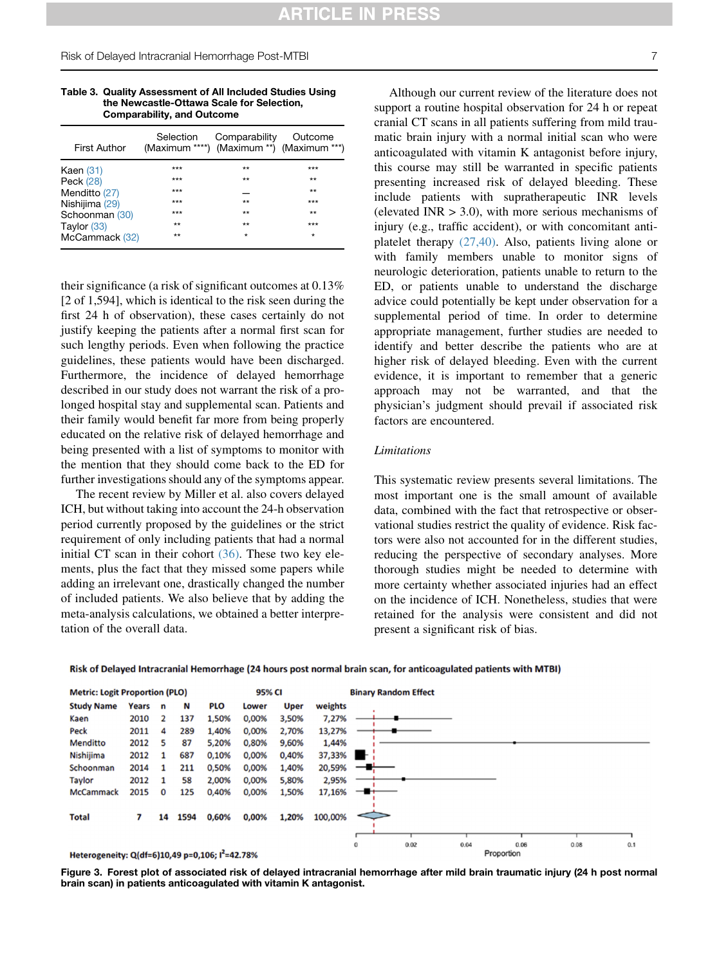<span id="page-6-0"></span>Risk of Delayed Intracranial Hemorrhage Post-MTBI 7

| <b>First Author</b> | Selection<br>(Maximum ****) (Maximum **) (Maximum ***) | Comparability | Outcome |
|---------------------|--------------------------------------------------------|---------------|---------|
| Kaen $(31)$         | $***$                                                  | $**$          | ***     |
| Peck (28)           | $***$                                                  | $**$          | $***$   |
| Menditto (27)       | $***$                                                  |               | $***$   |
| Nishijima (29)      | $***$                                                  | $**$          | $***$   |
| Schoonman (30)      | $***$                                                  | $**$          | $***$   |
| Taylor (33)         | $***$                                                  | $**$          | ***     |
| McCammack (32)      | $***$                                                  | $\star$       | $\star$ |

#### Table 3. Quality Assessment of All Included Studies Using the Newcastle-Ottawa Scale for Selection, Comparability, and Outcome

their significance (a risk of significant outcomes at 0.13% [2 of 1,594], which is identical to the risk seen during the first 24 h of observation), these cases certainly do not justify keeping the patients after a normal first scan for such lengthy periods. Even when following the practice guidelines, these patients would have been discharged. Furthermore, the incidence of delayed hemorrhage described in our study does not warrant the risk of a prolonged hospital stay and supplemental scan. Patients and their family would benefit far more from being properly educated on the relative risk of delayed hemorrhage and being presented with a list of symptoms to monitor with the mention that they should come back to the ED for further investigations should any of the symptoms appear.

The recent review by Miller et al. also covers delayed ICH, but without taking into account the 24-h observation period currently proposed by the guidelines or the strict requirement of only including patients that had a normal initial CT scan in their cohort [\(36\).](#page-8-0) These two key elements, plus the fact that they missed some papers while adding an irrelevant one, drastically changed the number of included patients. We also believe that by adding the meta-analysis calculations, we obtained a better interpretation of the overall data.

Although our current review of the literature does not support a routine hospital observation for 24 h or repeat cranial CT scans in all patients suffering from mild traumatic brain injury with a normal initial scan who were anticoagulated with vitamin K antagonist before injury, this course may still be warranted in specific patients presenting increased risk of delayed bleeding. These include patients with supratherapeutic INR levels (elevated INR  $> 3.0$ ), with more serious mechanisms of injury (e.g., traffic accident), or with concomitant antiplatelet therapy [\(27,40\)](#page-8-0). Also, patients living alone or with family members unable to monitor signs of neurologic deterioration, patients unable to return to the ED, or patients unable to understand the discharge advice could potentially be kept under observation for a supplemental period of time. In order to determine appropriate management, further studies are needed to identify and better describe the patients who are at higher risk of delayed bleeding. Even with the current evidence, it is important to remember that a generic approach may not be warranted, and that the physician's judgment should prevail if associated risk factors are encountered.

#### Limitations

This systematic review presents several limitations. The most important one is the small amount of available data, combined with the fact that retrospective or observational studies restrict the quality of evidence. Risk factors were also not accounted for in the different studies, reducing the perspective of secondary analyses. More thorough studies might be needed to determine with more certainty whether associated injuries had an effect on the incidence of ICH. Nonetheless, studies that were retained for the analysis were consistent and did not present a significant risk of bias.





#### Heterogeneity: Q(df=6)10,49 p=0,106; l<sup>2</sup>=42.78%

Figure 3. Forest plot of associated risk of delayed intracranial hemorrhage after mild brain traumatic injury (24 h post normal brain scan) in patients anticoagulated with vitamin K antagonist.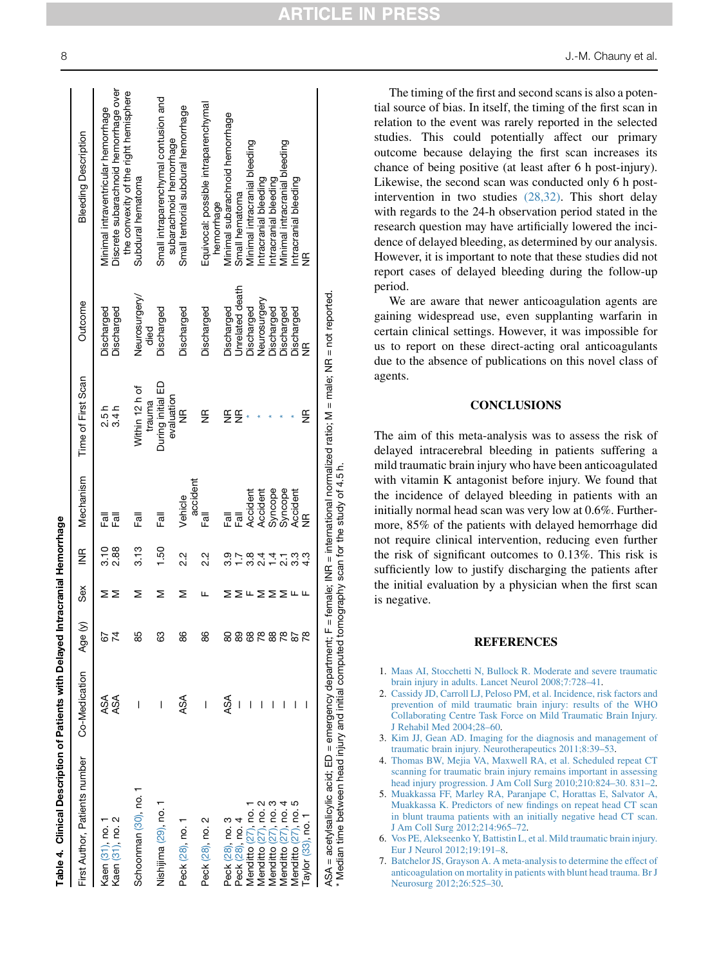| ׇׅ֚֚֚֬֡֡֡֡֝ |
|-------------|
| ׇ֚֬֡        |
| ֕           |
|             |
|             |
| i           |
|             |

<span id="page-7-0"></span>

| First Author, Patients number Co-Medication                                                                                                                                                                                             |            | $\widehat{\phantom{1}}$<br>Age | Sex | l€                             | Mechanism          | Time of First Scan              | Outcome                       | <b>Bleeding Description</b>                                                                                           |
|-----------------------------------------------------------------------------------------------------------------------------------------------------------------------------------------------------------------------------------------|------------|--------------------------------|-----|--------------------------------|--------------------|---------------------------------|-------------------------------|-----------------------------------------------------------------------------------------------------------------------|
| Kaen (31), no. 2<br>Kaen (31), no. 1                                                                                                                                                                                                    | ASA<br>ASA | 67<br>$\overline{4}$           | ⋝   | 2.88<br>$\frac{10}{3}$         | ᆒ<br>同             | 2.5 H<br>2.4<br>2.4             | Discharged<br>Discharged      | Discrete subarachnoid hemorrhage over<br>the convexity of the right hemisphere<br>Minimal intraventricular hemorrhage |
| Schoonman (30), no. 1                                                                                                                                                                                                                   |            | 85                             | ⋝   | 3.13                           | ∏a<br>Ea           | Within 12 h of                  | Neurosurgery/                 | Subdural hematoma                                                                                                     |
| Nishijima (29), no. 1                                                                                                                                                                                                                   |            | 63                             | ⋝   | 1.50                           | 高                  | During initial ED<br>trauma     | Discharged<br>died            | Small intraparenchymal contusion and                                                                                  |
| Peck (28), no. 1                                                                                                                                                                                                                        | ASA        | 86                             | ⋝   | 2.3                            | Vehicle            | evaluation<br>$\widetilde{\Xi}$ | Discharged                    | Small tentorial subdural hemorrhage<br>subarachnoid hemorrhage                                                        |
| Peck (28), no. 2                                                                                                                                                                                                                        |            | 86                             |     | $\frac{2}{3}$                  | accident<br>晨      | $\frac{\alpha}{2}$              | Discharged                    | Equivocal: possible intraparenchymal                                                                                  |
| Peck (28), no. 3                                                                                                                                                                                                                        | ASA        | 80                             |     |                                | 高                  | €                               | Discharged                    | Minimal subarachnoid hemorrhage<br>hemorrhage                                                                         |
| Menditto (27), no.<br>Peck (28), no. 4                                                                                                                                                                                                  |            | 89                             |     | $3.\overline{8}$<br>$\ddot{ }$ | Accident<br>高      | $\widetilde{\Xi}$               | Unrelated death<br>Discharged | Minimal intracranial bleeding<br>Small hematoma                                                                       |
| Menditto (27), no. 2                                                                                                                                                                                                                    |            |                                |     | 2.4                            | Accident           |                                 | Neurosurgery                  | Intracranial bleeding                                                                                                 |
| Menditto (27), no. 4<br>Menditto (27), no. 3                                                                                                                                                                                            |            | 38885                          |     | $\frac{1}{4}$                  | Syncope<br>Syncope |                                 | Discharged<br>Discharged      | Minimal intracranial bleeding<br>Intracranial bleeding                                                                |
| Menditto (27), no. 5                                                                                                                                                                                                                    |            |                                | Щ   | $3.\overline{3}$               | Accident           |                                 | Discharged                    | Intracranial bleeding                                                                                                 |
| Taylor (33), no. 1                                                                                                                                                                                                                      |            | œ                              |     |                                |                    | $\frac{\alpha}{2}$              | $\frac{\alpha}{2}$            | $\frac{\alpha}{2}$                                                                                                    |
| ASA = acetylsalicylic acid; ED = emergency department; F = female; INR = international normalized ratio; M = male; NR = not reported.<br>* Median time between head injury and initial computed tomography scan for the study of 4.5 h. |            |                                |     |                                |                    |                                 |                               |                                                                                                                       |

The timing of the first and second scans is also a potential source of bias. In itself, the timing of the first scan in relation to the event was rarely reported in the selected studies. This could potentially affect our primary outcome because delaying the first scan increases its chance of being positive (at least after 6 h post-injury). Likewise, the second scan was conducted only 6 h postintervention in two studies [\(28,32\)](#page-8-0). This short delay with regards to the 24-h observation period stated in the research question may have artificially lowered the incidence of delayed bleeding, as determined by our analysis. However, it is important to note that these studies did not report cases of delayed bleeding during the follow-up period.

We are aware that newer anticoagulation agents are gaining widespread use, even supplanting warfarin in certain clinical settings. However, it was impossible for us to report on these direct-acting oral anticoagulants due to the absence of publications on this novel class of agents.

#### **CONCLUSIONS**

The aim of this meta-analysis was to assess the risk of delayed intracerebral bleeding in patients suffering a mild traumatic brain injury who have been anticoagulated with vitamin K antagonist before injury. We found that the incidence of delayed bleeding in patients with an initially normal head scan was very low at 0.6%. Furthermore, 85% of the patients with delayed hemorrhage did not require clinical intervention, reducing even further the risk of significant outcomes to 0.13%. This risk is sufficiently low to justify discharging the patients after the initial evaluation by a physician when the first scan is negative.

#### REFERENCES

- 1. [Maas AI, Stocchetti N, Bullock R. Moderate and severe traumatic](http://refhub.elsevier.com/S0736-4679(16)30175-5/sref1) [brain injury in adults. Lancet Neurol 2008;7:728–41.](http://refhub.elsevier.com/S0736-4679(16)30175-5/sref1)
- 2. [Cassidy JD, Carroll LJ, Peloso PM, et al. Incidence, risk factors and](http://refhub.elsevier.com/S0736-4679(16)30175-5/sref2) [prevention of mild traumatic brain injury: results of the WHO](http://refhub.elsevier.com/S0736-4679(16)30175-5/sref2) [Collaborating Centre Task Force on Mild Traumatic Brain Injury.](http://refhub.elsevier.com/S0736-4679(16)30175-5/sref2) [J Rehabil Med 2004;28–60.](http://refhub.elsevier.com/S0736-4679(16)30175-5/sref2)
- 3. [Kim JJ, Gean AD. Imaging for the diagnosis and management of](http://refhub.elsevier.com/S0736-4679(16)30175-5/sref3) [traumatic brain injury. Neurotherapeutics 2011;8:39–53](http://refhub.elsevier.com/S0736-4679(16)30175-5/sref3).
- 4. [Thomas BW, Mejia VA, Maxwell RA, et al. Scheduled repeat CT](http://refhub.elsevier.com/S0736-4679(16)30175-5/sref4) [scanning for traumatic brain injury remains important in assessing](http://refhub.elsevier.com/S0736-4679(16)30175-5/sref4) [head injury progression. J Am Coll Surg 2010;210:824–30. 831–2](http://refhub.elsevier.com/S0736-4679(16)30175-5/sref4).
- 5. [Muakkassa FF, Marley RA, Paranjape C, Horattas E, Salvator A,](http://refhub.elsevier.com/S0736-4679(16)30175-5/sref5) [Muakkassa K. Predictors of new findings on repeat head CT scan](http://refhub.elsevier.com/S0736-4679(16)30175-5/sref5) [in blunt trauma patients with an initially negative head CT scan.](http://refhub.elsevier.com/S0736-4679(16)30175-5/sref5) [J Am Coll Surg 2012;214:965–72.](http://refhub.elsevier.com/S0736-4679(16)30175-5/sref5)
- 6. [Vos PE, Alekseenko Y, Battistin L, et al. Mild traumatic brain injury.](http://refhub.elsevier.com/S0736-4679(16)30175-5/sref6) [Eur J Neurol 2012;19:191–8](http://refhub.elsevier.com/S0736-4679(16)30175-5/sref6).
- 7. [Batchelor JS, Grayson A. A meta-analysis to determine the effect of](http://refhub.elsevier.com/S0736-4679(16)30175-5/sref7) [anticoagulation on mortality in patients with blunt head trauma. Br J](http://refhub.elsevier.com/S0736-4679(16)30175-5/sref7) [Neurosurg 2012;26:525–30](http://refhub.elsevier.com/S0736-4679(16)30175-5/sref7).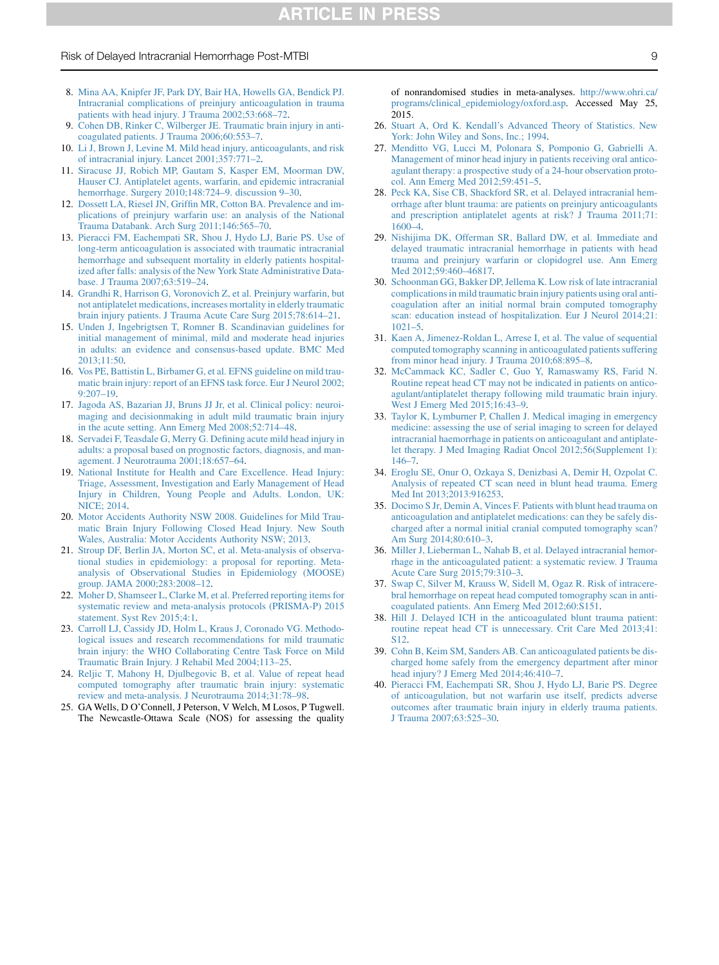# **ARTICLE IN PRESS**

#### <span id="page-8-0"></span>Risk of Delayed Intracranial Hemorrhage Post-MTBI 9

- 8. [Mina AA, Knipfer JF, Park DY, Bair HA, Howells GA, Bendick PJ.](http://refhub.elsevier.com/S0736-4679(16)30175-5/sref8) [Intracranial complications of preinjury anticoagulation in trauma](http://refhub.elsevier.com/S0736-4679(16)30175-5/sref8) [patients with head injury. J Trauma 2002;53:668–72](http://refhub.elsevier.com/S0736-4679(16)30175-5/sref8).
- 9. [Cohen DB, Rinker C, Wilberger JE. Traumatic brain injury in anti](http://refhub.elsevier.com/S0736-4679(16)30175-5/sref9)[coagulated patients. J Trauma 2006;60:553–7.](http://refhub.elsevier.com/S0736-4679(16)30175-5/sref9)
- 10. [Li J, Brown J, Levine M. Mild head injury, anticoagulants, and risk](http://refhub.elsevier.com/S0736-4679(16)30175-5/sref10) [of intracranial injury. Lancet 2001;357:771–2.](http://refhub.elsevier.com/S0736-4679(16)30175-5/sref10)
- 11. [Siracuse JJ, Robich MP, Gautam S, Kasper EM, Moorman DW,](http://refhub.elsevier.com/S0736-4679(16)30175-5/sref11) [Hauser CJ. Antiplatelet agents, warfarin, and epidemic intracranial](http://refhub.elsevier.com/S0736-4679(16)30175-5/sref11) [hemorrhage. Surgery 2010;148:724–9. discussion 9–30.](http://refhub.elsevier.com/S0736-4679(16)30175-5/sref11)
- 12. [Dossett LA, Riesel JN, Griffin MR, Cotton BA. Prevalence and im](http://refhub.elsevier.com/S0736-4679(16)30175-5/sref12)[plications of preinjury warfarin use: an analysis of the National](http://refhub.elsevier.com/S0736-4679(16)30175-5/sref12) [Trauma Databank. Arch Surg 2011;146:565–70.](http://refhub.elsevier.com/S0736-4679(16)30175-5/sref12)
- 13. [Pieracci FM, Eachempati SR, Shou J, Hydo LJ, Barie PS. Use of](http://refhub.elsevier.com/S0736-4679(16)30175-5/sref13) [long-term anticoagulation is associated with traumatic intracranial](http://refhub.elsevier.com/S0736-4679(16)30175-5/sref13) [hemorrhage and subsequent mortality in elderly patients hospital](http://refhub.elsevier.com/S0736-4679(16)30175-5/sref13)[ized after falls: analysis of the New York State Administrative Data](http://refhub.elsevier.com/S0736-4679(16)30175-5/sref13)[base. J Trauma 2007;63:519–24](http://refhub.elsevier.com/S0736-4679(16)30175-5/sref13).
- 14. [Grandhi R, Harrison G, Voronovich Z, et al. Preinjury warfarin, but](http://refhub.elsevier.com/S0736-4679(16)30175-5/sref14) [not antiplatelet medications, increases mortality in elderly traumatic](http://refhub.elsevier.com/S0736-4679(16)30175-5/sref14) [brain injury patients. J Trauma Acute Care Surg 2015;78:614–21.](http://refhub.elsevier.com/S0736-4679(16)30175-5/sref14)
- 15. [Unden J, Ingebrigtsen T, Romner B. Scandinavian guidelines for](http://refhub.elsevier.com/S0736-4679(16)30175-5/sref15) [initial management of minimal, mild and moderate head injuries](http://refhub.elsevier.com/S0736-4679(16)30175-5/sref15) [in adults: an evidence and consensus-based update. BMC Med](http://refhub.elsevier.com/S0736-4679(16)30175-5/sref15) [2013;11:50.](http://refhub.elsevier.com/S0736-4679(16)30175-5/sref15)
- 16. [Vos PE, Battistin L, Birbamer G, et al. EFNS guideline on mild trau](http://refhub.elsevier.com/S0736-4679(16)30175-5/sref16)[matic brain injury: report of an EFNS task force. Eur J Neurol 2002;](http://refhub.elsevier.com/S0736-4679(16)30175-5/sref16) [9:207–19.](http://refhub.elsevier.com/S0736-4679(16)30175-5/sref16)
- 17. [Jagoda AS, Bazarian JJ, Bruns JJ Jr, et al. Clinical policy: neuroi](http://refhub.elsevier.com/S0736-4679(16)30175-5/sref17)[maging and decisionmaking in adult mild traumatic brain injury](http://refhub.elsevier.com/S0736-4679(16)30175-5/sref17) [in the acute setting. Ann Emerg Med 2008;52:714–48.](http://refhub.elsevier.com/S0736-4679(16)30175-5/sref17)
- 18. [Servadei F, Teasdale G, Merry G. Defining acute mild head injury in](http://refhub.elsevier.com/S0736-4679(16)30175-5/sref18) [adults: a proposal based on prognostic factors, diagnosis, and man](http://refhub.elsevier.com/S0736-4679(16)30175-5/sref18)[agement. J Neurotrauma 2001;18:657–64.](http://refhub.elsevier.com/S0736-4679(16)30175-5/sref18)
- 19. [National Institute for Health and Care Excellence. Head Injury:](http://refhub.elsevier.com/S0736-4679(16)30175-5/sref19) [Triage, Assessment, Investigation and Early Management of Head](http://refhub.elsevier.com/S0736-4679(16)30175-5/sref19) [Injury in Children, Young People and Adults. London, UK:](http://refhub.elsevier.com/S0736-4679(16)30175-5/sref19) [NICE; 2014.](http://refhub.elsevier.com/S0736-4679(16)30175-5/sref19)
- 20. [Motor Accidents Authority NSW 2008. Guidelines for Mild Trau](http://refhub.elsevier.com/S0736-4679(16)30175-5/sref20)[matic Brain Injury Following Closed Head Injury. New South](http://refhub.elsevier.com/S0736-4679(16)30175-5/sref20) [Wales, Australia: Motor Accidents Authority NSW; 2013](http://refhub.elsevier.com/S0736-4679(16)30175-5/sref20).
- 21. [Stroup DF, Berlin JA, Morton SC, et al. Meta-analysis of observa](http://refhub.elsevier.com/S0736-4679(16)30175-5/sref21)[tional studies in epidemiology: a proposal for reporting. Meta](http://refhub.elsevier.com/S0736-4679(16)30175-5/sref21)[analysis of Observational Studies in Epidemiology \(MOOSE\)](http://refhub.elsevier.com/S0736-4679(16)30175-5/sref21) [group. JAMA 2000;283:2008–12.](http://refhub.elsevier.com/S0736-4679(16)30175-5/sref21)
- 22. [Moher D, Shamseer L, Clarke M, et al. Preferred reporting items for](http://refhub.elsevier.com/S0736-4679(16)30175-5/sref22) [systematic review and meta-analysis protocols \(PRISMA-P\) 2015](http://refhub.elsevier.com/S0736-4679(16)30175-5/sref22) [statement. Syst Rev 2015;4:1.](http://refhub.elsevier.com/S0736-4679(16)30175-5/sref22)
- 23. [Carroll LJ, Cassidy JD, Holm L, Kraus J, Coronado VG. Methodo](http://refhub.elsevier.com/S0736-4679(16)30175-5/sref23)[logical issues and research recommendations for mild traumatic](http://refhub.elsevier.com/S0736-4679(16)30175-5/sref23) [brain injury: the WHO Collaborating Centre Task Force on Mild](http://refhub.elsevier.com/S0736-4679(16)30175-5/sref23) [Traumatic Brain Injury. J Rehabil Med 2004;113–25.](http://refhub.elsevier.com/S0736-4679(16)30175-5/sref23)
- 24. [Reljic T, Mahony H, Djulbegovic B, et al. Value of repeat head](http://refhub.elsevier.com/S0736-4679(16)30175-5/sref24) [computed tomography after traumatic brain injury: systematic](http://refhub.elsevier.com/S0736-4679(16)30175-5/sref24) [review and meta-analysis. J Neurotrauma 2014;31:78–98.](http://refhub.elsevier.com/S0736-4679(16)30175-5/sref24)
- 25. GAWells, D O'Connell, J Peterson, V Welch, M Losos, P Tugwell. The Newcastle-Ottawa Scale (NOS) for assessing the quality

of nonrandomised studies in meta-analyses. [http://www.ohri.ca/](http://www.ohri.ca/programs/clinical_epidemiology/oxford.asp) [programs/clinical\\_epidemiology/oxford.asp](http://www.ohri.ca/programs/clinical_epidemiology/oxford.asp). Accessed May 25, 2015.

- 26. [Stuart A, Ord K. Kendall's Advanced Theory of Statistics. New](http://refhub.elsevier.com/S0736-4679(16)30175-5/sref26) [York: John Wiley and Sons, Inc.; 1994](http://refhub.elsevier.com/S0736-4679(16)30175-5/sref26).
- 27. [Menditto VG, Lucci M, Polonara S, Pomponio G, Gabrielli A.](http://refhub.elsevier.com/S0736-4679(16)30175-5/sref27) [Management of minor head injury in patients receiving oral antico](http://refhub.elsevier.com/S0736-4679(16)30175-5/sref27)[agulant therapy: a prospective study of a 24-hour observation proto](http://refhub.elsevier.com/S0736-4679(16)30175-5/sref27)[col. Ann Emerg Med 2012;59:451–5.](http://refhub.elsevier.com/S0736-4679(16)30175-5/sref27)
- 28. [Peck KA, Sise CB, Shackford SR, et al. Delayed intracranial hem](http://refhub.elsevier.com/S0736-4679(16)30175-5/sref28)[orrhage after blunt trauma: are patients on preinjury anticoagulants](http://refhub.elsevier.com/S0736-4679(16)30175-5/sref28) [and prescription antiplatelet agents at risk? J Trauma 2011;71:](http://refhub.elsevier.com/S0736-4679(16)30175-5/sref28) [1600–4](http://refhub.elsevier.com/S0736-4679(16)30175-5/sref28).
- 29. [Nishijima DK, Offerman SR, Ballard DW, et al. Immediate and](http://refhub.elsevier.com/S0736-4679(16)30175-5/sref29) [delayed traumatic intracranial hemorrhage in patients with head](http://refhub.elsevier.com/S0736-4679(16)30175-5/sref29) [trauma and preinjury warfarin or clopidogrel use. Ann Emerg](http://refhub.elsevier.com/S0736-4679(16)30175-5/sref29) Med 2012;59:460-46817.
- 30. [Schoonman GG, Bakker DP, Jellema K. Low risk of late intracranial](http://refhub.elsevier.com/S0736-4679(16)30175-5/sref30) [complications in mild traumatic brain injury patients using oral anti](http://refhub.elsevier.com/S0736-4679(16)30175-5/sref30)[coagulation after an initial normal brain computed tomography](http://refhub.elsevier.com/S0736-4679(16)30175-5/sref30) [scan: education instead of hospitalization. Eur J Neurol 2014;21:](http://refhub.elsevier.com/S0736-4679(16)30175-5/sref30) [1021–5](http://refhub.elsevier.com/S0736-4679(16)30175-5/sref30).
- 31. [Kaen A, Jimenez-Roldan L, Arrese I, et al. The value of sequential](http://refhub.elsevier.com/S0736-4679(16)30175-5/sref31) [computed tomography scanning in anticoagulated patients suffering](http://refhub.elsevier.com/S0736-4679(16)30175-5/sref31) [from minor head injury. J Trauma 2010;68:895–8.](http://refhub.elsevier.com/S0736-4679(16)30175-5/sref31)
- 32. [McCammack KC, Sadler C, Guo Y, Ramaswamy RS, Farid N.](http://refhub.elsevier.com/S0736-4679(16)30175-5/sref32) [Routine repeat head CT may not be indicated in patients on antico](http://refhub.elsevier.com/S0736-4679(16)30175-5/sref32)[agulant/antiplatelet therapy following mild traumatic brain injury.](http://refhub.elsevier.com/S0736-4679(16)30175-5/sref32) [West J Emerg Med 2015;16:43–9](http://refhub.elsevier.com/S0736-4679(16)30175-5/sref32).
- 33. [Taylor K, Lymburner P, Challen J. Medical imaging in emergency](http://refhub.elsevier.com/S0736-4679(16)30175-5/sref33) [medicine: assessing the use of serial imaging to screen for delayed](http://refhub.elsevier.com/S0736-4679(16)30175-5/sref33) [intracranial haemorrhage in patients on anticoagulant and antiplate](http://refhub.elsevier.com/S0736-4679(16)30175-5/sref33)[let therapy. J Med Imaging Radiat Oncol 2012;56\(Supplement 1\):](http://refhub.elsevier.com/S0736-4679(16)30175-5/sref33) [146–7.](http://refhub.elsevier.com/S0736-4679(16)30175-5/sref33)
- 34. [Eroglu SE, Onur O, Ozkaya S, Denizbasi A, Demir H, Ozpolat C.](http://refhub.elsevier.com/S0736-4679(16)30175-5/sref34) [Analysis of repeated CT scan need in blunt head trauma. Emerg](http://refhub.elsevier.com/S0736-4679(16)30175-5/sref34) [Med Int 2013;2013:916253.](http://refhub.elsevier.com/S0736-4679(16)30175-5/sref34)
- 35. [Docimo S Jr, Demin A, Vinces F. Patients with blunt head trauma on](http://refhub.elsevier.com/S0736-4679(16)30175-5/sref35) [anticoagulation and antiplatelet medications: can they be safely dis](http://refhub.elsevier.com/S0736-4679(16)30175-5/sref35)[charged after a normal initial cranial computed tomography scan?](http://refhub.elsevier.com/S0736-4679(16)30175-5/sref35) [Am Surg 2014;80:610–3](http://refhub.elsevier.com/S0736-4679(16)30175-5/sref35).
- 36. [Miller J, Lieberman L, Nahab B, et al. Delayed intracranial hemor](http://refhub.elsevier.com/S0736-4679(16)30175-5/sref36)[rhage in the anticoagulated patient: a systematic review. J Trauma](http://refhub.elsevier.com/S0736-4679(16)30175-5/sref36) [Acute Care Surg 2015;79:310–3.](http://refhub.elsevier.com/S0736-4679(16)30175-5/sref36)
- 37. [Swap C, Silver M, Krauss W, Sidell M, Ogaz R. Risk of intracere](http://refhub.elsevier.com/S0736-4679(16)30175-5/sref37)[bral hemorrhage on repeat head computed tomography scan in anti](http://refhub.elsevier.com/S0736-4679(16)30175-5/sref37)[coagulated patients. Ann Emerg Med 2012;60:S151](http://refhub.elsevier.com/S0736-4679(16)30175-5/sref37).
- 38. [Hill J. Delayed ICH in the anticoagulated blunt trauma patient:](http://refhub.elsevier.com/S0736-4679(16)30175-5/sref38) [routine repeat head CT is unnecessary. Crit Care Med 2013;41:](http://refhub.elsevier.com/S0736-4679(16)30175-5/sref38) [S12.](http://refhub.elsevier.com/S0736-4679(16)30175-5/sref38)
- 39. [Cohn B, Keim SM, Sanders AB. Can anticoagulated patients be dis](http://refhub.elsevier.com/S0736-4679(16)30175-5/sref39)[charged home safely from the emergency department after minor](http://refhub.elsevier.com/S0736-4679(16)30175-5/sref39) [head injury? J Emerg Med 2014;46:410–7.](http://refhub.elsevier.com/S0736-4679(16)30175-5/sref39)
- 40. [Pieracci FM, Eachempati SR, Shou J, Hydo LJ, Barie PS. Degree](http://refhub.elsevier.com/S0736-4679(16)30175-5/sref40) [of anticoagulation, but not warfarin use itself, predicts adverse](http://refhub.elsevier.com/S0736-4679(16)30175-5/sref40) [outcomes after traumatic brain injury in elderly trauma patients.](http://refhub.elsevier.com/S0736-4679(16)30175-5/sref40) [J Trauma 2007;63:525–30.](http://refhub.elsevier.com/S0736-4679(16)30175-5/sref40)